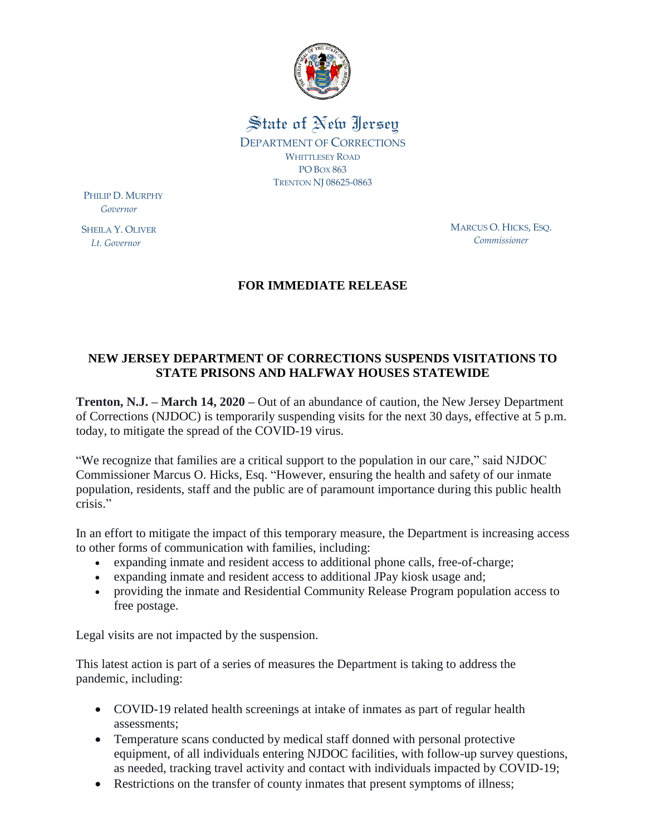

State of New Iersey DEPARTMENT OF CORRECTIONS WHITTLESEY ROAD PO BOX 863 TRENTON NJ 08625-0863

PHILIP D. MURPHY  *Governor*

SHEILA Y. OLIVER  *Lt. Governor*

MARCUS O. HICKS, ESQ. *Commissioner*

## **FOR IMMEDIATE RELEASE**

## **NEW JERSEY DEPARTMENT OF CORRECTIONS SUSPENDS VISITATIONS TO STATE PRISONS AND HALFWAY HOUSES STATEWIDE**

**Trenton, N.J. – March 14, 2020 –** Out of an abundance of caution, the New Jersey Department of Corrections (NJDOC) is temporarily suspending visits for the next 30 days, effective at 5 p.m. today, to mitigate the spread of the COVID-19 virus.

"We recognize that families are a critical support to the population in our care," said NJDOC Commissioner Marcus O. Hicks, Esq. "However, ensuring the health and safety of our inmate population, residents, staff and the public are of paramount importance during this public health crisis."

In an effort to mitigate the impact of this temporary measure, the Department is increasing access to other forms of communication with families, including:

- expanding inmate and resident access to additional phone calls, free-of-charge;
- expanding inmate and resident access to additional JPay kiosk usage and;
- providing the inmate and Residential Community Release Program population access to free postage.

Legal visits are not impacted by the suspension.

This latest action is part of a series of measures the Department is taking to address the pandemic, including:

- COVID-19 related health screenings at intake of inmates as part of regular health assessments;
- Temperature scans conducted by medical staff donned with personal protective equipment, of all individuals entering NJDOC facilities, with follow-up survey questions, as needed, tracking travel activity and contact with individuals impacted by COVID-19;
- Restrictions on the transfer of county inmates that present symptoms of illness;